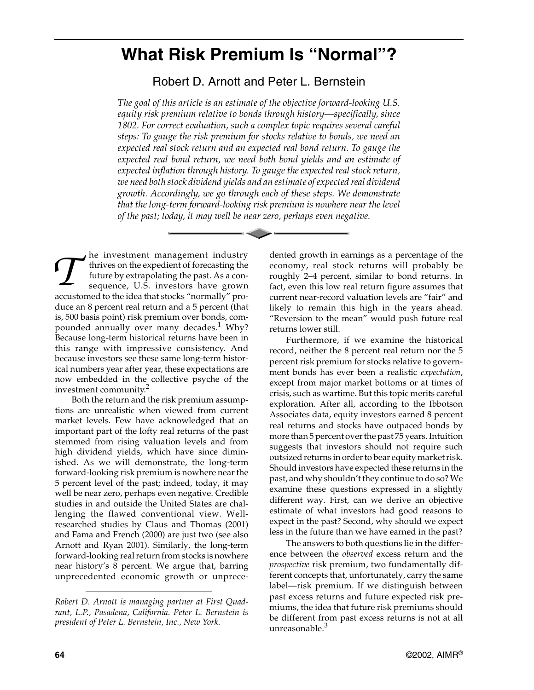## **What Risk Premium Is "Normal"?**

Robert D. Arnott and Peter L. Bernstein

*The goal of this article is an estimate of the objective forward-looking U.S. equity risk premium relative to bonds through history—specifically, since 1802. For correct evaluation, such a complex topic requires several careful steps: To gauge the risk premium for stocks relative to bonds, we need an expected real stock return and an expected real bond return. To gauge the expected real bond return, we need both bond yields and an estimate of expected inflation through history. To gauge the expected real stock return, we need both stock dividend yields and an estimate of expected real dividend growth. Accordingly, we go through each of these steps. We demonstrate that the long-term forward-looking risk premium is nowhere near the level of the past; today, it may well be near zero, perhaps even negative.*

he investment management industry thrives on the expedient of forecasting the future by extrapolating the past. As a consequence, U.S. investors have grown The investment management industry<br>thrives on the expedient of forecasting the<br>future by extrapolating the past. As a con-<br>sequence, U.S. investors have grown<br>accustomed to the idea that stocks "normally" produce an 8 percent real return and a 5 percent (that is, 500 basis point) risk premium over bonds, compounded annually over many decades.<sup>1</sup> Why? Because long-term historical returns have been in this range with impressive consistency. And because investors see these same long-term historical numbers year after year, these expectations are now embedded in the collective psyche of the investment community.2

Both the return and the risk premium assumptions are unrealistic when viewed from current market levels. Few have acknowledged that an important part of the lofty real returns of the past stemmed from rising valuation levels and from high dividend yields, which have since diminished. As we will demonstrate, the long-term forward-looking risk premium is nowhere near the 5 percent level of the past; indeed, today, it may well be near zero, perhaps even negative. Credible studies in and outside the United States are challenging the flawed conventional view. Wellresearched studies by Claus and Thomas (2001) and Fama and French (2000) are just two (see also Arnott and Ryan 2001). Similarly, the long-term forward-looking real return from stocks is nowhere near history's 8 percent. We argue that, barring unprecedented economic growth or unprecedented growth in earnings as a percentage of the economy, real stock returns will probably be roughly 2–4 percent, similar to bond returns. In fact, even this low real return figure assumes that current near-record valuation levels are "fair" and likely to remain this high in the years ahead. "Reversion to the mean" would push future real returns lower still.

Furthermore, if we examine the historical record, neither the 8 percent real return nor the 5 percent risk premium for stocks relative to government bonds has ever been a realistic *expectation*, except from major market bottoms or at times of crisis, such as wartime. But this topic merits careful exploration. After all, according to the Ibbotson Associates data, equity investors earned 8 percent real returns and stocks have outpaced bonds by more than 5 percent over the past 75 years. Intuition suggests that investors should not require such outsized returns in order to bear equity market risk. Should investors have expected these returns in the past, and why shouldn't they continue to do so? We examine these questions expressed in a slightly different way. First, can we derive an objective estimate of what investors had good reasons to expect in the past? Second, why should we expect less in the future than we have earned in the past?

The answers to both questions lie in the difference between the *observed* excess return and the *prospective* risk premium, two fundamentally different concepts that, unfortunately, carry the same label—risk premium. If we distinguish between past excess returns and future expected risk premiums, the idea that future risk premiums should be different from past excess returns is not at all unreasonable.<sup>3</sup>

*Robert D. Arnott is managing partner at First Quadrant, L.P., Pasadena, California. Peter L. Bernstein is president of Peter L. Bernstein, Inc., New York.*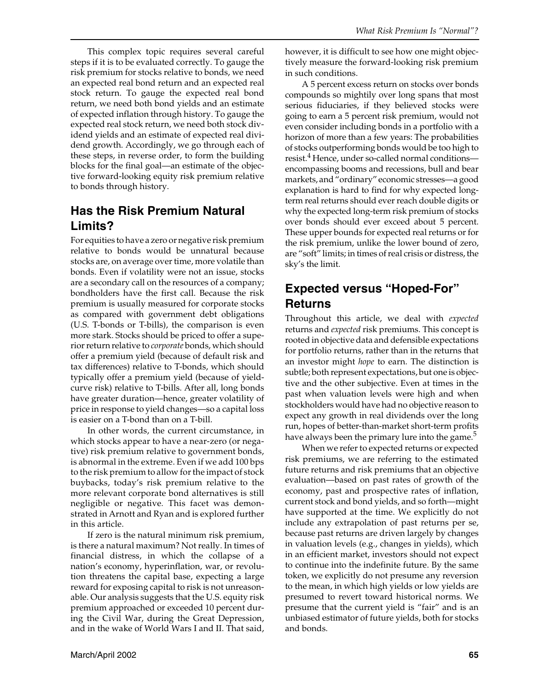This complex topic requires several careful steps if it is to be evaluated correctly. To gauge the risk premium for stocks relative to bonds, we need an expected real bond return and an expected real stock return. To gauge the expected real bond return, we need both bond yields and an estimate of expected inflation through history. To gauge the expected real stock return, we need both stock dividend yields and an estimate of expected real dividend growth. Accordingly, we go through each of these steps, in reverse order, to form the building blocks for the final goal—an estimate of the objective forward-looking equity risk premium relative to bonds through history.

## **Has the Risk Premium Natural Limits?**

For equities to have a zero or negative risk premium relative to bonds would be unnatural because stocks are, on average over time, more volatile than bonds. Even if volatility were not an issue, stocks are a secondary call on the resources of a company; bondholders have the first call. Because the risk premium is usually measured for corporate stocks as compared with government debt obligations (U.S. T-bonds or T-bills), the comparison is even more stark. Stocks should be priced to offer a superior return relative to *corporate* bonds, which should offer a premium yield (because of default risk and tax differences) relative to T-bonds, which should typically offer a premium yield (because of yieldcurve risk) relative to T-bills. After all, long bonds have greater duration—hence, greater volatility of price in response to yield changes—so a capital loss is easier on a T-bond than on a T-bill.

In other words, the current circumstance, in which stocks appear to have a near-zero (or negative) risk premium relative to government bonds, is abnormal in the extreme. Even if we add 100 bps to the risk premium to allow for the impact of stock buybacks, today's risk premium relative to the more relevant corporate bond alternatives is still negligible or negative*.* This facet was demonstrated in Arnott and Ryan and is explored further in this article.

If zero is the natural minimum risk premium, is there a natural maximum? Not really. In times of financial distress, in which the collapse of a nation's economy, hyperinflation, war, or revolution threatens the capital base, expecting a large reward for exposing capital to risk is not unreasonable. Our analysis suggests that the U.S. equity risk premium approached or exceeded 10 percent during the Civil War, during the Great Depression, and in the wake of World Wars I and II. That said, however, it is difficult to see how one might objectively measure the forward-looking risk premium in such conditions.

A 5 percent excess return on stocks over bonds compounds so mightily over long spans that most serious fiduciaries, if they believed stocks were going to earn a 5 percent risk premium, would not even consider including bonds in a portfolio with a horizon of more than a few years: The probabilities of stocks outperforming bonds would be too high to resist.<sup>4</sup> Hence, under so-called normal conditionsencompassing booms and recessions, bull and bear markets, and "ordinary" economic stresses—a good explanation is hard to find for why expected longterm real returns should ever reach double digits or why the expected long-term risk premium of stocks over bonds should ever exceed about 5 percent. These upper bounds for expected real returns or for the risk premium, unlike the lower bound of zero, are "soft" limits; in times of real crisis or distress, the sky's the limit.

## **Expected versus "Hoped-For" Returns**

Throughout this article, we deal with *expected* returns and *expected* risk premiums. This concept is rooted in objective data and defensible expectations for portfolio returns, rather than in the returns that an investor might *hope* to earn. The distinction is subtle; both represent expectations, but one is objective and the other subjective. Even at times in the past when valuation levels were high and when stockholders would have had no objective reason to expect any growth in real dividends over the long run, hopes of better-than-market short-term profits have always been the primary lure into the game.<sup>5</sup>

When we refer to expected returns or expected risk premiums, we are referring to the estimated future returns and risk premiums that an objective evaluation—based on past rates of growth of the economy, past and prospective rates of inflation, current stock and bond yields, and so forth—might have supported at the time. We explicitly do not include any extrapolation of past returns per se, because past returns are driven largely by changes in valuation levels (e.g., changes in yields), which in an efficient market, investors should not expect to continue into the indefinite future. By the same token, we explicitly do not presume any reversion to the mean, in which high yields or low yields are presumed to revert toward historical norms. We presume that the current yield is "fair" and is an unbiased estimator of future yields, both for stocks and bonds.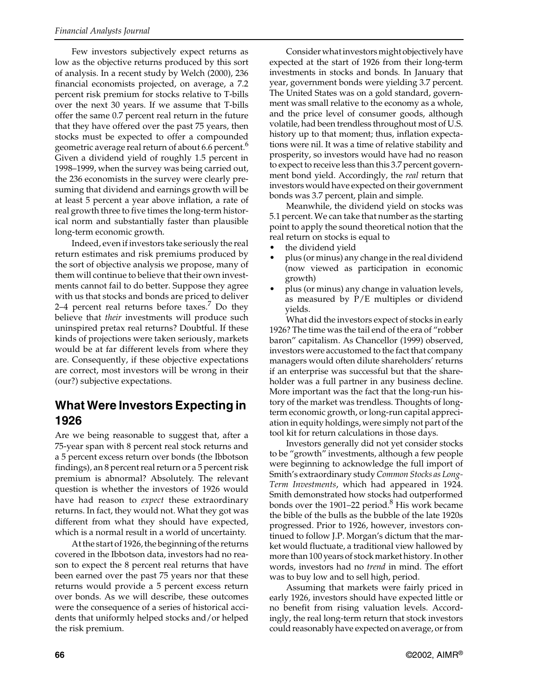Few investors subjectively expect returns as low as the objective returns produced by this sort of analysis. In a recent study by Welch (2000), 236 financial economists projected, on average, a 7.2 percent risk premium for stocks relative to T-bills over the next 30 years. If we assume that T-bills offer the same 0.7 percent real return in the future that they have offered over the past 75 years, then stocks must be expected to offer a compounded geometric average real return of about 6.6 percent.<sup>6</sup> Given a dividend yield of roughly 1.5 percent in 1998–1999, when the survey was being carried out, the 236 economists in the survey were clearly presuming that dividend and earnings growth will be at least 5 percent a year above inflation, a rate of real growth three to five times the long-term historical norm and substantially faster than plausible long-term economic growth.

Indeed, even if investors take seriously the real return estimates and risk premiums produced by the sort of objective analysis we propose, many of them will continue to believe that their own investments cannot fail to do better. Suppose they agree with us that stocks and bonds are priced to deliver 2–4 percent real returns before taxes. $7$  Do they believe that *their* investments will produce such uninspired pretax real returns? Doubtful. If these kinds of projections were taken seriously, markets would be at far different levels from where they are. Consequently, if these objective expectations are correct, most investors will be wrong in their (our?) subjective expectations.

### **What Were Investors Expecting in 1926**

Are we being reasonable to suggest that, after a 75-year span with 8 percent real stock returns and a 5 percent excess return over bonds (the Ibbotson findings), an 8 percent real return or a 5 percent risk premium is abnormal? Absolutely. The relevant question is whether the investors of 1926 would have had reason to *expect* these extraordinary returns. In fact, they would not. What they got was different from what they should have expected, which is a normal result in a world of uncertainty.

At the start of 1926, the beginning of the returns covered in the Ibbotson data, investors had no reason to expect the 8 percent real returns that have been earned over the past 75 years nor that these returns would provide a 5 percent excess return over bonds. As we will describe, these outcomes were the consequence of a series of historical accidents that uniformly helped stocks and/or helped the risk premium.

Consider what investors might objectively have expected at the start of 1926 from their long-term investments in stocks and bonds*.* In January that year, government bonds were yielding 3.7 percent. The United States was on a gold standard, government was small relative to the economy as a whole, and the price level of consumer goods, although volatile, had been trendless throughout most of U.S. history up to that moment; thus, inflation expectations were nil. It was a time of relative stability and prosperity, so investors would have had no reason to expect to receive less than this 3.7 percent government bond yield. Accordingly, the *real* return that investors would have expected on their government bonds was 3.7 percent, plain and simple.

Meanwhile, the dividend yield on stocks was 5.1 percent. We can take that number as the starting point to apply the sound theoretical notion that the real return on stocks is equal to

- the dividend yield
- plus (or minus) any change in the real dividend (now viewed as participation in economic growth)
- plus (or minus) any change in valuation levels, as measured by P/E multiples or dividend yields.

What did the investors expect of stocks in early 1926? The time was the tail end of the era of "robber baron" capitalism. As Chancellor (1999) observed, investors were accustomed to the fact that company managers would often dilute shareholders' returns if an enterprise was successful but that the shareholder was a full partner in any business decline. More important was the fact that the long-run history of the market was trendless. Thoughts of longterm economic growth, or long-run capital appreciation in equity holdings, were simply not part of the tool kit for return calculations in those days.

Investors generally did not yet consider stocks to be "growth" investments, although a few people were beginning to acknowledge the full import of Smith's extraordinary study *Common Stocks as Long-Term Investments*, which had appeared in 1924. Smith demonstrated how stocks had outperformed bonds over the 1901–22 period.<sup>8</sup> His work became the bible of the bulls as the bubble of the late 1920s progressed. Prior to 1926, however, investors continued to follow J.P. Morgan's dictum that the market would fluctuate, a traditional view hallowed by more than 100 years of stock market history. In other words, investors had no *trend* in mind. The effort was to buy low and to sell high, period.

Assuming that markets were fairly priced in early 1926, investors should have expected little or no benefit from rising valuation levels. Accordingly, the real long-term return that stock investors could reasonably have expected on average, or from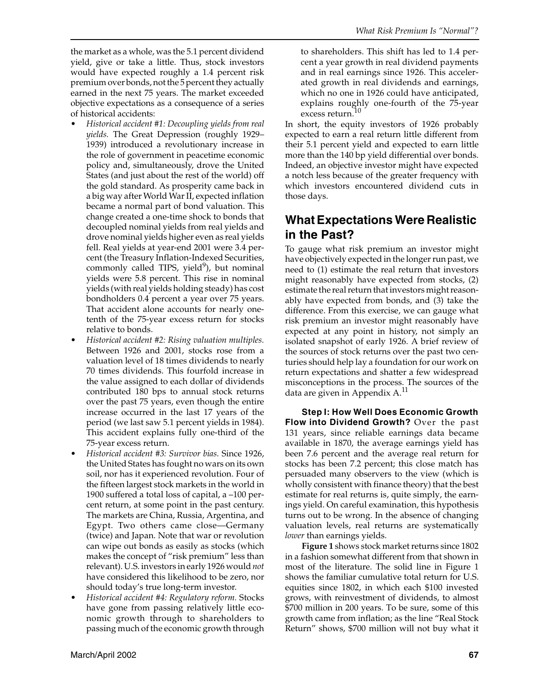the market as a whole, was the 5.1 percent dividend yield, give or take a little. Thus, stock investors would have expected roughly a 1.4 percent risk premium over bonds, not the 5 percent they actually earned in the next 75 years. The market exceeded objective expectations as a consequence of a series of historical accidents:

- *Historical accident #1: Decoupling yields from real yields.* The Great Depression (roughly 1929– 1939) introduced a revolutionary increase in the role of government in peacetime economic policy and, simultaneously, drove the United States (and just about the rest of the world) off the gold standard. As prosperity came back in a big way after World War II, expected inflation became a normal part of bond valuation. This change created a one-time shock to bonds that decoupled nominal yields from real yields and drove nominal yields higher even as real yields fell. Real yields at year-end 2001 were 3.4 percent (the Treasury Inflation-Indexed Securities, commonly called TIPS, yield<sup>9</sup>), but nominal yields were 5.8 percent. This rise in nominal yields (with real yields holding steady) has cost bondholders 0.4 percent a year over 75 years. That accident alone accounts for nearly onetenth of the 75-year excess return for stocks relative to bonds.
- *Historical accident #2: Rising valuation multiples.* Between 1926 and 2001, stocks rose from a valuation level of 18 times dividends to nearly 70 times dividends. This fourfold increase in the value assigned to each dollar of dividends contributed 180 bps to annual stock returns over the past 75 years, even though the entire increase occurred in the last 17 years of the period (we last saw 5.1 percent yields in 1984). This accident explains fully one-third of the 75-year excess return.
- *Historical accident #3: Survivor bias.* Since 1926, the United States has fought no wars on its own soil, nor has it experienced revolution. Four of the fifteen largest stock markets in the world in 1900 suffered a total loss of capital, a –100 percent return, at some point in the past century. The markets are China, Russia, Argentina, and Egypt. Two others came close—Germany (twice) and Japan. Note that war or revolution can wipe out bonds as easily as stocks (which makes the concept of "risk premium" less than relevant). U.S. investors in early 1926 would *not* have considered this likelihood to be zero, nor should today's true long-term investor.
- *Historical accident #4: Regulatory reform.* Stocks have gone from passing relatively little economic growth through to shareholders to passing much of the economic growth through

to shareholders. This shift has led to 1.4 percent a year growth in real dividend payments and in real earnings since 1926. This accelerated growth in real dividends and earnings, which no one in 1926 could have anticipated, explains roughly one-fourth of the 75-year excess return.<sup>10</sup>

In short, the equity investors of 1926 probably expected to earn a real return little different from their 5.1 percent yield and expected to earn little more than the 140 bp yield differential over bonds. Indeed, an objective investor might have expected a notch less because of the greater frequency with which investors encountered dividend cuts in those days.

## **What Expectations Were Realistic in the Past?**

To gauge what risk premium an investor might have objectively expected in the longer run past, we need to (1) estimate the real return that investors might reasonably have expected from stocks, (2) estimate the real return that investors might reasonably have expected from bonds, and (3) take the difference. From this exercise, we can gauge what risk premium an investor might reasonably have expected at any point in history, not simply an isolated snapshot of early 1926. A brief review of the sources of stock returns over the past two centuries should help lay a foundation for our work on return expectations and shatter a few widespread misconceptions in the process. The sources of the data are given in Appendix A.<sup>11</sup>

**Step I: How Well Does Economic Growth Flow into Dividend Growth?** Over the past 131 years, since reliable earnings data became available in 1870, the average earnings yield has been 7.6 percent and the average real return for stocks has been 7.2 percent; this close match has persuaded many observers to the view (which is wholly consistent with finance theory) that the best estimate for real returns is, quite simply, the earnings yield. On careful examination, this hypothesis turns out to be wrong. In the absence of changing valuation levels, real returns are systematically *lower* than earnings yields.

**Figure 1** shows stock market returns since 1802 in a fashion somewhat different from that shown in most of the literature. The solid line in Figure 1 shows the familiar cumulative total return for U.S. equities since 1802, in which each \$100 invested grows, with reinvestment of dividends, to almost \$700 million in 200 years. To be sure, some of this growth came from inflation; as the line "Real Stock Return" shows, \$700 million will not buy what it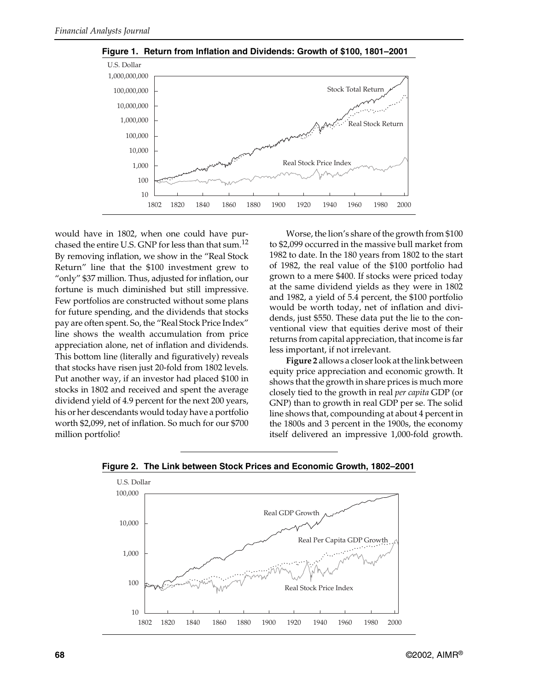

**Figure 1. Return from Inflation and Dividends: Growth of \$100, 1801–2001**

would have in 1802, when one could have purchased the entire U.S. GNP for less than that sum.<sup>12</sup> By removing inflation, we show in the "Real Stock Return" line that the \$100 investment grew to "only" \$37 million. Thus, adjusted for inflation, our fortune is much diminished but still impressive. Few portfolios are constructed without some plans for future spending, and the dividends that stocks pay are often spent. So, the "Real Stock Price Index" line shows the wealth accumulation from price appreciation alone, net of inflation and dividends. This bottom line (literally and figuratively) reveals that stocks have risen just 20-fold from 1802 levels. Put another way, if an investor had placed \$100 in stocks in 1802 and received and spent the average dividend yield of 4.9 percent for the next 200 years, his or her descendants would today have a portfolio worth \$2,099, net of inflation. So much for our \$700 million portfolio!

Worse, the lion's share of the growth from \$100 to \$2,099 occurred in the massive bull market from 1982 to date. In the 180 years from 1802 to the start of 1982, the real value of the \$100 portfolio had grown to a mere \$400. If stocks were priced today at the same dividend yields as they were in 1802 and 1982, a yield of 5.4 percent, the \$100 portfolio would be worth today, net of inflation and dividends, just \$550. These data put the lie to the conventional view that equities derive most of their returns from capital appreciation, that income is far less important, if not irrelevant.

**Figure 2** allows a closer look at the link between equity price appreciation and economic growth. It shows that the growth in share prices is much more closely tied to the growth in real *per capita* GDP (or GNP) than to growth in real GDP per se. The solid line shows that, compounding at about 4 percent in the 1800s and 3 percent in the 1900s, the economy itself delivered an impressive 1,000-fold growth.



**Figure 2. The Link between Stock Prices and Economic Growth, 1802–2001**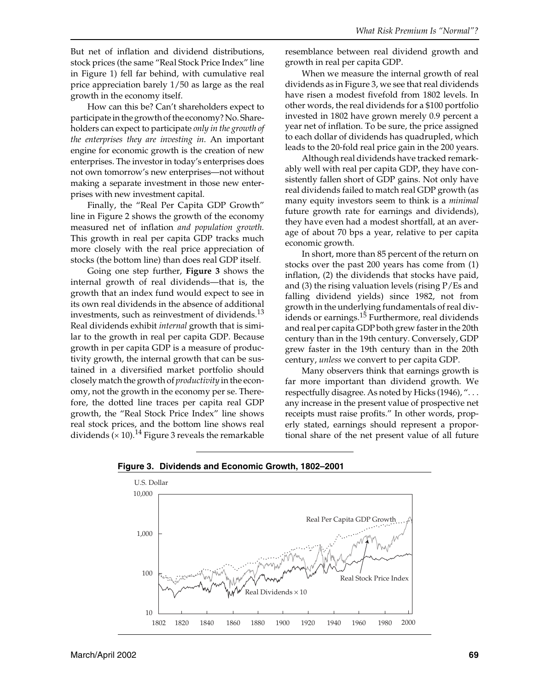But net of inflation and dividend distributions, stock prices (the same "Real Stock Price Index" line in Figure 1) fell far behind, with cumulative real price appreciation barely 1/50 as large as the real growth in the economy itself.

How can this be? Can't shareholders expect to participate in the growth of the economy? No. Shareholders can expect to participate *only in the growth of the enterprises they are investing in*. An important engine for economic growth is the creation of new enterprises. The investor in today's enterprises does not own tomorrow's new enterprises—not without making a separate investment in those new enterprises with new investment capital.

Finally, the "Real Per Capita GDP Growth" line in Figure 2 shows the growth of the economy measured net of inflation *and population growth.* This growth in real per capita GDP tracks much more closely with the real price appreciation of stocks (the bottom line) than does real GDP itself.

Going one step further, **Figure 3** shows the internal growth of real dividends—that is, the growth that an index fund would expect to see in its own real dividends in the absence of additional investments, such as reinvestment of dividends. $^{13}$ Real dividends exhibit *internal* growth that is similar to the growth in real per capita GDP. Because growth in per capita GDP is a measure of productivity growth, the internal growth that can be sustained in a diversified market portfolio should closely match the growth of *productivity* in the economy, not the growth in the economy per se. Therefore, the dotted line traces per capita real GDP growth, the "Real Stock Price Index" line shows real stock prices, and the bottom line shows real dividends ( $\times$  10).<sup>14</sup> Figure 3 reveals the remarkable resemblance between real dividend growth and growth in real per capita GDP.

When we measure the internal growth of real dividends as in Figure 3, we see that real dividends have risen a modest fivefold from 1802 levels. In other words, the real dividends for a \$100 portfolio invested in 1802 have grown merely 0.9 percent a year net of inflation. To be sure, the price assigned to each dollar of dividends has quadrupled, which leads to the 20-fold real price gain in the 200 years.

Although real dividends have tracked remarkably well with real per capita GDP, they have consistently fallen short of GDP gains. Not only have real dividends failed to match real GDP growth (as many equity investors seem to think is a *minimal* future growth rate for earnings and dividends), they have even had a modest shortfall, at an average of about 70 bps a year, relative to per capita economic growth.

In short, more than 85 percent of the return on stocks over the past 200 years has come from (1) inflation, (2) the dividends that stocks have paid, and (3) the rising valuation levels (rising P/Es and falling dividend yields) since 1982, not from growth in the underlying fundamentals of real dividends or earnings.<sup>15</sup> Furthermore, real dividends and real per capita GDP both grew faster in the 20th century than in the 19th century. Conversely, GDP grew faster in the 19th century than in the 20th century, *unless* we convert to per capita GDP.

Many observers think that earnings growth is far more important than dividend growth. We respectfully disagree. As noted by Hicks (1946), "... any increase in the present value of prospective net receipts must raise profits." In other words, properly stated, earnings should represent a proportional share of the net present value of all future



**Figure 3. Dividends and Economic Growth, 1802–2001**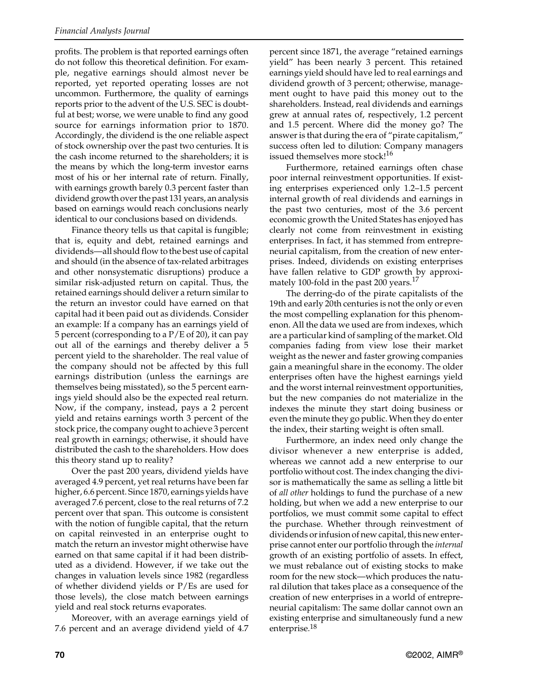profits. The problem is that reported earnings often do not follow this theoretical definition. For example, negative earnings should almost never be reported, yet reported operating losses are not uncommon. Furthermore, the quality of earnings reports prior to the advent of the U.S. SEC is doubtful at best; worse, we were unable to find any good source for earnings information prior to 1870. Accordingly, the dividend is the one reliable aspect of stock ownership over the past two centuries. It is the cash income returned to the shareholders; it is the means by which the long-term investor earns most of his or her internal rate of return. Finally, with earnings growth barely 0.3 percent faster than dividend growth over the past 131 years, an analysis based on earnings would reach conclusions nearly identical to our conclusions based on dividends.

Finance theory tells us that capital is fungible; that is, equity and debt, retained earnings and dividends—all should flow to the best use of capital and should (in the absence of tax-related arbitrages and other nonsystematic disruptions) produce a similar risk-adjusted return on capital. Thus, the retained earnings should deliver a return similar to the return an investor could have earned on that capital had it been paid out as dividends. Consider an example: If a company has an earnings yield of 5 percent (corresponding to a P/E of 20), it can pay out all of the earnings and thereby deliver a 5 percent yield to the shareholder. The real value of the company should not be affected by this full earnings distribution (unless the earnings are themselves being misstated), so the 5 percent earnings yield should also be the expected real return. Now, if the company, instead, pays a 2 percent yield and retains earnings worth 3 percent of the stock price, the company ought to achieve 3 percent real growth in earnings; otherwise, it should have distributed the cash to the shareholders. How does this theory stand up to reality?

Over the past 200 years, dividend yields have averaged 4.9 percent, yet real returns have been far higher, 6.6 percent. Since 1870, earnings yields have averaged 7.6 percent, close to the real returns of 7.2 percent over that span. This outcome is consistent with the notion of fungible capital, that the return on capital reinvested in an enterprise ought to match the return an investor might otherwise have earned on that same capital if it had been distributed as a dividend. However, if we take out the changes in valuation levels since 1982 (regardless of whether dividend yields or P/Es are used for those levels), the close match between earnings yield and real stock returns evaporates.

Moreover, with an average earnings yield of 7.6 percent and an average dividend yield of 4.7 percent since 1871, the average "retained earnings yield" has been nearly 3 percent. This retained earnings yield should have led to real earnings and dividend growth of 3 percent; otherwise, management ought to have paid this money out to the shareholders. Instead, real dividends and earnings grew at annual rates of, respectively, 1.2 percent and 1.5 percent. Where did the money go? The answer is that during the era of "pirate capitalism," success often led to dilution: Company managers issued themselves more stock!<sup>16</sup>

Furthermore, retained earnings often chase poor internal reinvestment opportunities. If existing enterprises experienced only 1.2–1.5 percent internal growth of real dividends and earnings in the past two centuries, most of the 3.6 percent economic growth the United States has enjoyed has clearly not come from reinvestment in existing enterprises. In fact, it has stemmed from entrepreneurial capitalism, from the creation of new enterprises. Indeed, dividends on existing enterprises have fallen relative to GDP growth by approximately 100-fold in the past 200 years.<sup>17</sup>

The derring-do of the pirate capitalists of the 19th and early 20th centuries is not the only or even the most compelling explanation for this phenomenon. All the data we used are from indexes, which are a particular kind of sampling of the market. Old companies fading from view lose their market weight as the newer and faster growing companies gain a meaningful share in the economy. The older enterprises often have the highest earnings yield and the worst internal reinvestment opportunities, but the new companies do not materialize in the indexes the minute they start doing business or even the minute they go public. When they do enter the index, their starting weight is often small.

Furthermore, an index need only change the divisor whenever a new enterprise is added, whereas we cannot add a new enterprise to our portfolio without cost. The index changing the divisor is mathematically the same as selling a little bit of *all other* holdings to fund the purchase of a new holding, but when we add a new enterprise to our portfolios, we must commit some capital to effect the purchase. Whether through reinvestment of dividends or infusion of new capital, this new enterprise cannot enter our portfolio through the *internal* growth of an existing portfolio of assets. In effect, we must rebalance out of existing stocks to make room for the new stock—which produces the natural dilution that takes place as a consequence of the creation of new enterprises in a world of entrepreneurial capitalism: The same dollar cannot own an existing enterprise and simultaneously fund a new enterprise.<sup>18</sup>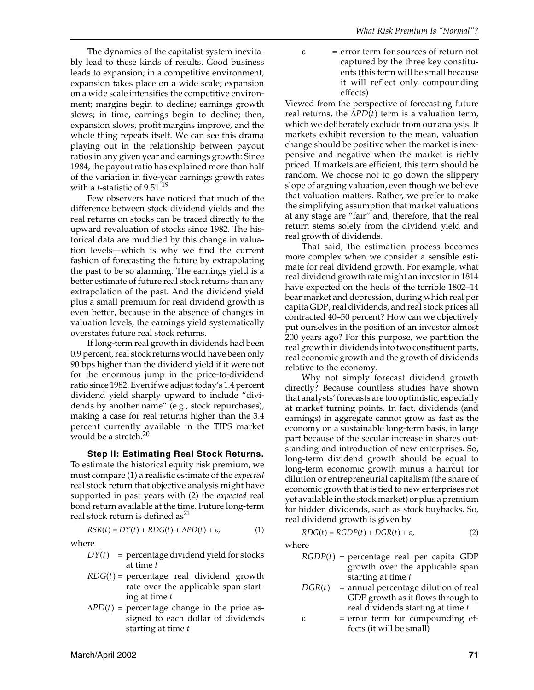The dynamics of the capitalist system inevitably lead to these kinds of results. Good business leads to expansion; in a competitive environment, expansion takes place on a wide scale; expansion on a wide scale intensifies the competitive environment; margins begin to decline; earnings growth slows; in time, earnings begin to decline; then, expansion slows, profit margins improve, and the whole thing repeats itself. We can see this drama playing out in the relationship between payout ratios in any given year and earnings growth: Since 1984, the payout ratio has explained more than half of the variation in five-year earnings growth rates with a *t*-statistic of 9.51.<sup>19</sup>

Few observers have noticed that much of the difference between stock dividend yields and the real returns on stocks can be traced directly to the upward revaluation of stocks since 1982. The historical data are muddied by this change in valuation levels—which is why we find the current fashion of forecasting the future by extrapolating the past to be so alarming. The earnings yield is a better estimate of future real stock returns than any extrapolation of the past. And the dividend yield plus a small premium for real dividend growth is even better, because in the absence of changes in valuation levels, the earnings yield systematically overstates future real stock returns.

If long-term real growth in dividends had been 0.9 percent, real stock returns would have been only 90 bps higher than the dividend yield if it were not for the enormous jump in the price-to-dividend ratio since 1982. Even if we adjust today's 1.4 percent dividend yield sharply upward to include "dividends by another name" (e.g., stock repurchases), making a case for real returns higher than the 3.4 percent currently available in the TIPS market would be a stretch.<sup>20</sup>

**Step II: Estimating Real Stock Returns.**

To estimate the historical equity risk premium, we must compare (1) a realistic estimate of the *expected* real stock return that objective analysis might have supported in past years with (2) the *expected* real bond return available at the time. Future long-term real stock return is defined  $as<sup>21</sup>$ 

$$
RSR(t) = DY(t) + RDG(t) + \Delta PD(t) + \varepsilon,
$$
\n(1)

where

- $DY(t)$  = percentage dividend yield for stocks at time *t*
- $RDG(t)$  = percentage real dividend growth rate over the applicable span starting at time *t*
- $\Delta P D(t)$  = percentage change in the price assigned to each dollar of dividends starting at time *t*

#### $\epsilon$  = error term for sources of return not captured by the three key constituents (this term will be small because it will reflect only compounding effects)

Viewed from the perspective of forecasting future real returns, the  $\Delta PD(t)$  term is a valuation term, which we deliberately exclude from our analysis. If markets exhibit reversion to the mean, valuation change should be positive when the market is inexpensive and negative when the market is richly priced. If markets are efficient, this term should be random. We choose not to go down the slippery slope of arguing valuation, even though we believe that valuation matters. Rather, we prefer to make the simplifying assumption that market valuations at any stage are "fair" and, therefore, that the real return stems solely from the dividend yield and real growth of dividends.

That said, the estimation process becomes more complex when we consider a sensible estimate for real dividend growth. For example, what real dividend growth rate might an investor in 1814 have expected on the heels of the terrible 1802–14 bear market and depression, during which real per capita GDP, real dividends, and real stock prices all contracted 40–50 percent? How can we objectively put ourselves in the position of an investor almost 200 years ago? For this purpose, we partition the real growth in dividends into two constituent parts, real economic growth and the growth of dividends relative to the economy.

Why not simply forecast dividend growth directly? Because countless studies have shown that analysts' forecasts are too optimistic, especially at market turning points. In fact, dividends (and earnings) in aggregate cannot grow as fast as the economy on a sustainable long-term basis, in large part because of the secular increase in shares outstanding and introduction of new enterprises. So, long-term dividend growth should be equal to long-term economic growth minus a haircut for dilution or entrepreneurial capitalism (the share of economic growth that is tied to new enterprises not yet available in the stock market) or plus a premium for hidden dividends, such as stock buybacks. So, real dividend growth is given by

$$
RDG(t) = RGDP(t) + DGR(t) + \varepsilon,
$$
\n(2)

where

- *RGDP*(*t*) = percentage real per capita GDP growth over the applicable span starting at time *t*
- $DGR(t)$  = annual percentage dilution of real GDP growth as it flows through to real dividends starting at time *t*
- $\epsilon$  = error term for compounding effects (it will be small)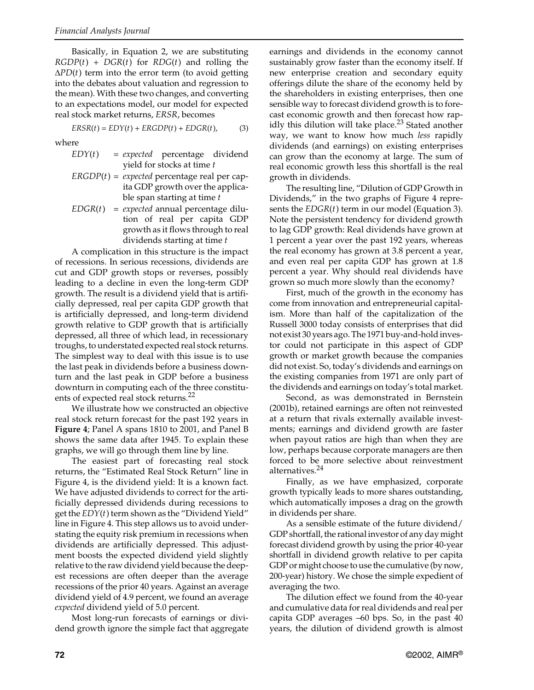Basically, in Equation 2, we are substituting *RGDP*(*t*) + *DGR*(*t*) for *RDG*(*t*) and rolling the ∆*PD*(*t*) term into the error term (to avoid getting into the debates about valuation and regression to the mean). With these two changes, and converting to an expectations model, our model for expected real stock market returns, *ERSR*, becomes

$$
ERSR(t) = EDY(t) + ERGDP(t) + EDGR(t),
$$
 (3)

where

- *EDY*(*t*) = *expected* percentage dividend yield for stocks at time *t*
- $ERGDP(t) = expected$  percentage real per capita GDP growth over the applicable span starting at time *t*
- *EDGR*(*t*) = *expected* annual percentage dilution of real per capita GDP growth as it flows through to real dividends starting at time *t*

A complication in this structure is the impact of recessions. In serious recessions, dividends are cut and GDP growth stops or reverses, possibly leading to a decline in even the long-term GDP growth. The result is a dividend yield that is artificially depressed, real per capita GDP growth that is artificially depressed, and long-term dividend growth relative to GDP growth that is artificially depressed, all three of which lead, in recessionary troughs, to understated expected real stock returns*.* The simplest way to deal with this issue is to use the last peak in dividends before a business downturn and the last peak in GDP before a business downturn in computing each of the three constituents of expected real stock returns.<sup>22</sup>

We illustrate how we constructed an objective real stock return forecast for the past 192 years in **Figure 4**; Panel A spans 1810 to 2001, and Panel B shows the same data after 1945. To explain these graphs, we will go through them line by line.

The easiest part of forecasting real stock returns, the "Estimated Real Stock Return" line in Figure 4, is the dividend yield: It is a known fact. We have adjusted dividends to correct for the artificially depressed dividends during recessions to get the *EDY*(*t*) term shown as the "Dividend Yield" line in Figure 4. This step allows us to avoid understating the equity risk premium in recessions when dividends are artificially depressed. This adjustment boosts the expected dividend yield slightly relative to the raw dividend yield because the deepest recessions are often deeper than the average recessions of the prior 40 years. Against an average dividend yield of 4.9 percent, we found an average *expected* dividend yield of 5.0 percent.

Most long-run forecasts of earnings or dividend growth ignore the simple fact that aggregate earnings and dividends in the economy cannot sustainably grow faster than the economy itself. If new enterprise creation and secondary equity offerings dilute the share of the economy held by the shareholders in existing enterprises, then one sensible way to forecast dividend growth is to forecast economic growth and then forecast how rapidly this dilution will take place. $^{23}$  Stated another way, we want to know how much *less* rapidly dividends (and earnings) on existing enterprises can grow than the economy at large. The sum of real economic growth less this shortfall is the real growth in dividends.

The resulting line, "Dilution of GDP Growth in Dividends," in the two graphs of Figure 4 represents the *EDGR*(*t*) term in our model (Equation 3). Note the persistent tendency for dividend growth to lag GDP growth: Real dividends have grown at 1 percent a year over the past 192 years, whereas the real economy has grown at 3.8 percent a year, and even real per capita GDP has grown at 1.8 percent a year. Why should real dividends have grown so much more slowly than the economy?

First, much of the growth in the economy has come from innovation and entrepreneurial capitalism. More than half of the capitalization of the Russell 3000 today consists of enterprises that did not exist 30 years ago. The 1971 buy-and-hold investor could not participate in this aspect of GDP growth or market growth because the companies did not exist. So, today's dividends and earnings on the existing companies from 1971 are only part of the dividends and earnings on today's total market.

Second, as was demonstrated in Bernstein (2001b), retained earnings are often not reinvested at a return that rivals externally available investments; earnings and dividend growth are faster when payout ratios are high than when they are low, perhaps because corporate managers are then forced to be more selective about reinvestment alternatives.<sup>24</sup>

Finally, as we have emphasized, corporate growth typically leads to more shares outstanding, which automatically imposes a drag on the growth in dividends per share.

As a sensible estimate of the future dividend/ GDP shortfall, the rational investor of any day might forecast dividend growth by using the prior 40-year shortfall in dividend growth relative to per capita GDP or might choose to use the cumulative (by now, 200-year) history. We chose the simple expedient of averaging the two.

The dilution effect we found from the 40-year and cumulative data for real dividends and real per capita GDP averages –60 bps. So, in the past 40 years, the dilution of dividend growth is almost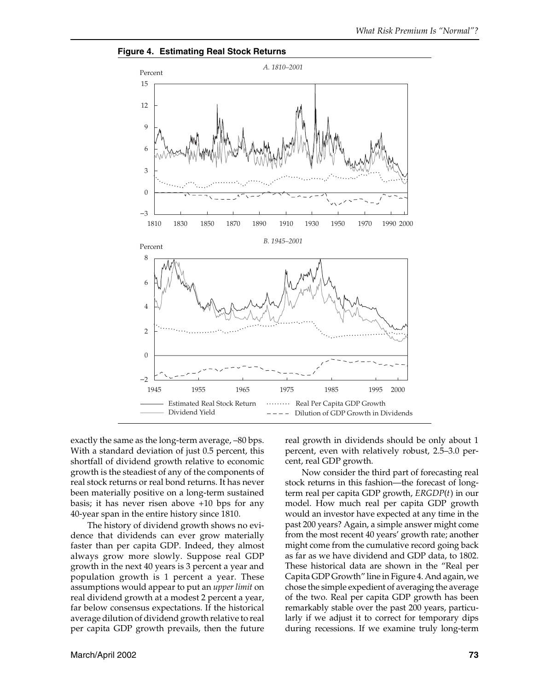

**Figure 4. Estimating Real Stock Returns**

exactly the same as the long-term average, –80 bps. With a standard deviation of just 0.5 percent, this shortfall of dividend growth relative to economic growth is the steadiest of any of the components of real stock returns or real bond returns. It has never been materially positive on a long-term sustained basis; it has never risen above +10 bps for any 40-year span in the entire history since 1810.

The history of dividend growth shows no evidence that dividends can ever grow materially faster than per capita GDP. Indeed, they almost always grow more slowly. Suppose real GDP growth in the next 40 years is 3 percent a year and population growth is 1 percent a year. These assumptions would appear to put an *upper limit* on real dividend growth at a modest 2 percent a year, far below consensus expectations. If the historical average dilution of dividend growth relative to real per capita GDP growth prevails, then the future real growth in dividends should be only about 1 percent, even with relatively robust, 2.5–3.0 percent, real GDP growth.

Now consider the third part of forecasting real stock returns in this fashion—the forecast of longterm real per capita GDP growth, *ERGDP*(*t*) in our model. How much real per capita GDP growth would an investor have expected at any time in the past 200 years? Again, a simple answer might come from the most recent 40 years' growth rate; another might come from the cumulative record going back as far as we have dividend and GDP data, to 1802. These historical data are shown in the "Real per Capita GDP Growth" line in Figure 4. And again, we chose the simple expedient of averaging the average of the two. Real per capita GDP growth has been remarkably stable over the past 200 years, particularly if we adjust it to correct for temporary dips during recessions. If we examine truly long-term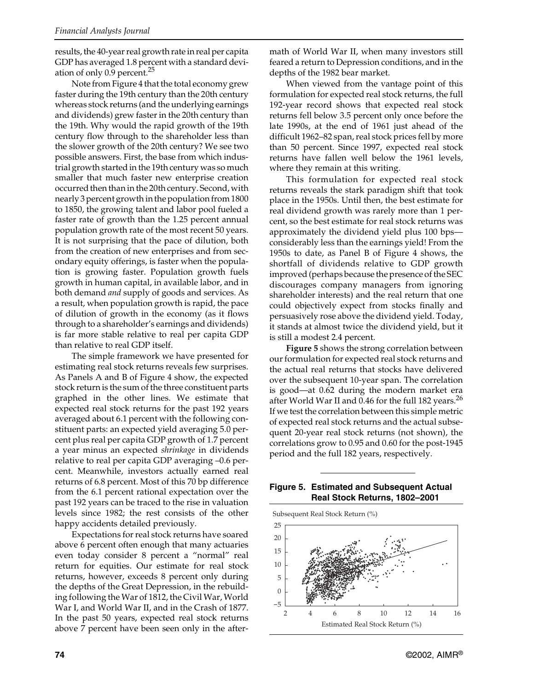results, the 40-year real growth rate in real per capita GDP has averaged 1.8 percent with a standard deviation of only 0.9 percent.<sup>25</sup>

Note from Figure 4 that the total economy grew faster during the 19th century than the 20th century whereas stock returns (and the underlying earnings and dividends) grew faster in the 20th century than the 19th. Why would the rapid growth of the 19th century flow through to the shareholder less than the slower growth of the 20th century? We see two possible answers. First, the base from which industrial growth started in the 19th century was so much smaller that much faster new enterprise creation occurred then than in the 20th century. Second, with nearly 3 percent growth in the population from 1800 to 1850, the growing talent and labor pool fueled a faster rate of growth than the 1.25 percent annual population growth rate of the most recent 50 years. It is not surprising that the pace of dilution, both from the creation of new enterprises and from secondary equity offerings, is faster when the population is growing faster. Population growth fuels growth in human capital, in available labor, and in both demand *and* supply of goods and services. As a result, when population growth is rapid, the pace of dilution of growth in the economy (as it flows through to a shareholder's earnings and dividends) is far more stable relative to real per capita GDP than relative to real GDP itself.

The simple framework we have presented for estimating real stock returns reveals few surprises. As Panels A and B of Figure 4 show, the expected stock return is the sum of the three constituent parts graphed in the other lines. We estimate that expected real stock returns for the past 192 years averaged about 6.1 percent with the following constituent parts: an expected yield averaging 5.0 percent plus real per capita GDP growth of 1.7 percent a year minus an expected *shrinkage* in dividends relative to real per capita GDP averaging –0.6 percent. Meanwhile, investors actually earned real returns of 6.8 percent. Most of this 70 bp difference from the 6.1 percent rational expectation over the past 192 years can be traced to the rise in valuation levels since 1982; the rest consists of the other happy accidents detailed previously.

Expectations for real stock returns have soared above 6 percent often enough that many actuaries even today consider 8 percent a "normal" real return for equities. Our estimate for real stock returns, however, exceeds 8 percent only during the depths of the Great Depression, in the rebuilding following the War of 1812, the Civil War, World War I, and World War II, and in the Crash of 1877. In the past 50 years, expected real stock returns above 7 percent have been seen only in the aftermath of World War II, when many investors still feared a return to Depression conditions, and in the depths of the 1982 bear market.

When viewed from the vantage point of this formulation for expected real stock returns, the full 192-year record shows that expected real stock returns fell below 3.5 percent only once before the late 1990s, at the end of 1961 just ahead of the difficult 1962–82 span, real stock prices fell by more than 50 percent. Since 1997, expected real stock returns have fallen well below the 1961 levels, where they remain at this writing.

This formulation for expected real stock returns reveals the stark paradigm shift that took place in the 1950s. Until then, the best estimate for real dividend growth was rarely more than 1 percent, so the best estimate for real stock returns was approximately the dividend yield plus 100 bps considerably less than the earnings yield! From the 1950s to date, as Panel B of Figure 4 shows, the shortfall of dividends relative to GDP growth improved (perhaps because the presence of the SEC discourages company managers from ignoring shareholder interests) and the real return that one could objectively expect from stocks finally and persuasively rose above the dividend yield. Today, it stands at almost twice the dividend yield, but it is still a modest 2.4 percent.

**Figure 5** shows the strong correlation between our formulation for expected real stock returns and the actual real returns that stocks have delivered over the subsequent 10-year span. The correlation is good—at 0.62 during the modern market era after World War II and 0.46 for the full 182 years.<sup>26</sup> If we test the correlation between this simple metric of expected real stock returns and the actual subsequent 20-year real stock returns (not shown), the correlations grow to 0.95 and 0.60 for the post-1945 period and the full 182 years, respectively.



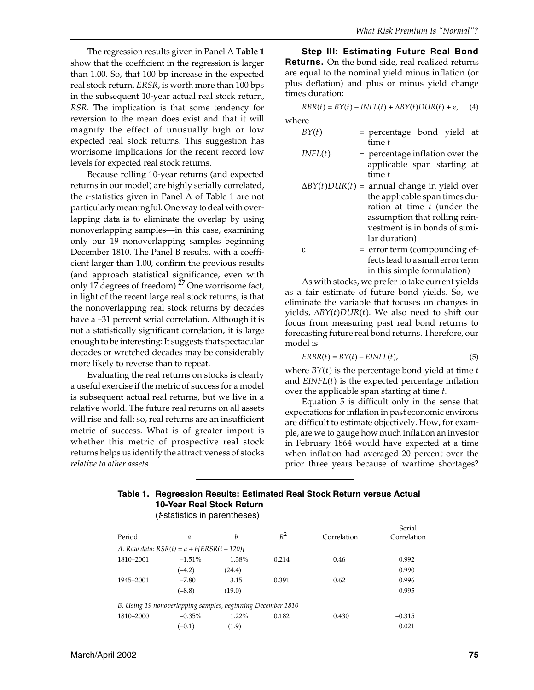The regression results given in Panel A **Table 1** show that the coefficient in the regression is larger than 1.00. So, that 100 bp increase in the expected real stock return, *ERSR*, is worth more than 100 bps in the subsequent 10-year actual real stock return, *RSR*. The implication is that some tendency for reversion to the mean does exist and that it will magnify the effect of unusually high or low expected real stock returns. This suggestion has worrisome implications for the recent record low levels for expected real stock returns.

Because rolling 10-year returns (and expected returns in our model) are highly serially correlated, the *t*-statistics given in Panel A of Table 1 are not particularly meaningful. One way to deal with overlapping data is to eliminate the overlap by using nonoverlapping samples—in this case, examining only our 19 nonoverlapping samples beginning December 1810. The Panel B results, with a coefficient larger than 1.00, confirm the previous results (and approach statistical significance, even with only 17 degrees of freedom). $27$  One worrisome fact, in light of the recent large real stock returns, is that the nonoverlapping real stock returns by decades have a –31 percent serial correlation. Although it is not a statistically significant correlation, it is large enough to be interesting: It suggests that spectacular decades or wretched decades may be considerably more likely to reverse than to repeat.

Evaluating the real returns on stocks is clearly a useful exercise if the metric of success for a model is subsequent actual real returns, but we live in a relative world. The future real returns on all assets will rise and fall; so, real returns are an insufficient metric of success. What is of greater import is whether this metric of prospective real stock returns helps us identify the attractiveness of stocks *relative to other assets.*

**Step III: Estimating Future Real Bond Returns.** On the bond side, real realized returns are equal to the nominal yield minus inflation (or plus deflation) and plus or minus yield change times duration:

$$
RBR(t) = BY(t) - INFL(t) + \Delta BY(t) DUR(t) + \varepsilon, \quad (4)
$$

where

- $BY(t)$  = percentage bond yield at time *t*
- *INFL*(*t*) = percentage inflation over the applicable span starting at time *t*
- ∆*BY*(*t*)*DUR*(*t*) = annual change in yield over the applicable span times duration at time *t* (under the assumption that rolling reinvestment is in bonds of similar duration)
- $\epsilon$  = error term (compounding effects lead to a small error term in this simple formulation)

As with stocks, we prefer to take current yields as a fair estimate of future bond yields. So, we eliminate the variable that focuses on changes in yields, ∆*BY*(*t*)*DUR*(*t*). We also need to shift our focus from measuring past real bond returns to forecasting future real bond returns. Therefore, our model is

$$
ERBR(t) = BY(t) - EINFL(t),
$$
\n(5)

where *BY*(*t*) is the percentage bond yield at time *t* and *EINFL*(*t*) is the expected percentage inflation over the applicable span starting at time *t*.

Equation 5 is difficult only in the sense that expectations for inflation in past economic environs are difficult to estimate objectively. How, for example, are we to gauge how much inflation an investor in February 1864 would have expected at a time when inflation had averaged 20 percent over the prior three years because of wartime shortages?

| Table 1. Regression Results: Estimated Real Stock Return versus Actual |
|------------------------------------------------------------------------|
| 10-Year Real Stock Return                                              |
|                                                                        |

| ( <i>t</i> -statistics in parentheses) |                                                             |          |       |             |                       |
|----------------------------------------|-------------------------------------------------------------|----------|-------|-------------|-----------------------|
| Period                                 | a                                                           | b        | $R^2$ | Correlation | Serial<br>Correlation |
|                                        | A. Raw data: $RSR(t) = a + b \text{ERSR}(t - 120)$          |          |       |             |                       |
| 1810-2001                              | $-1.51\%$                                                   | 1.38%    | 0.214 | 0.46        | 0.992                 |
|                                        | $(-4.2)$                                                    | (24.4)   |       |             | 0.990                 |
| 1945-2001                              | $-7.80$                                                     | 3.15     | 0.391 | 0.62        | 0.996                 |
|                                        | $(-8.8)$                                                    | (19.0)   |       |             | 0.995                 |
|                                        | B. Using 19 nonoverlapping samples, beginning December 1810 |          |       |             |                       |
| 1810-2000                              | $-0.35\%$                                                   | $1.22\%$ | 0.182 | 0.430       | $-0.315$              |
|                                        | $(-0.1)$                                                    | (1.9)    |       |             | 0.021                 |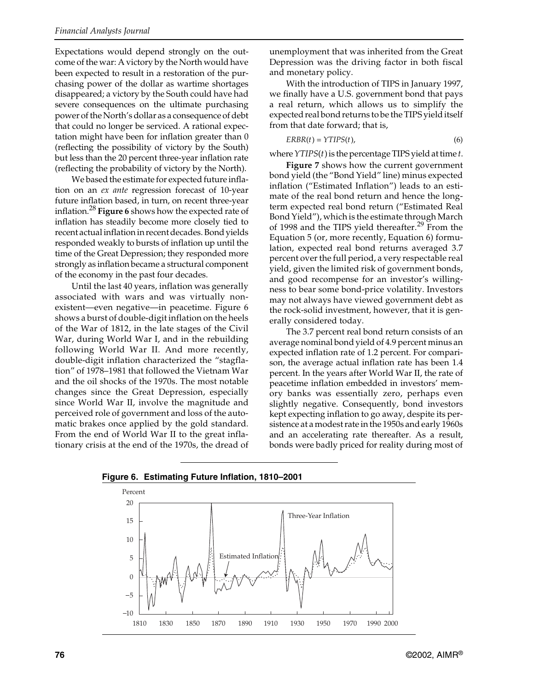Expectations would depend strongly on the outcome of the war: A victory by the North would have been expected to result in a restoration of the purchasing power of the dollar as wartime shortages disappeared; a victory by the South could have had severe consequences on the ultimate purchasing power of the North's dollar as a consequence of debt that could no longer be serviced. A rational expectation might have been for inflation greater than 0 (reflecting the possibility of victory by the South) but less than the 20 percent three-year inflation rate (reflecting the probability of victory by the North).

We based the estimate for expected future inflation on an *ex ante* regression forecast of 10-year future inflation based, in turn, on recent three-year inflation.<sup>28</sup> **Figure 6** shows how the expected rate of inflation has steadily become more closely tied to recent actual inflation in recent decades. Bond yields responded weakly to bursts of inflation up until the time of the Great Depression; they responded more strongly as inflation became a structural component of the economy in the past four decades.

Until the last 40 years, inflation was generally associated with wars and was virtually nonexistent—even negative—in peacetime. Figure 6 shows a burst of double-digit inflation on the heels of the War of 1812, in the late stages of the Civil War, during World War I, and in the rebuilding following World War II. And more recently, double-digit inflation characterized the "stagflation" of 1978–1981 that followed the Vietnam War and the oil shocks of the 1970s. The most notable changes since the Great Depression, especially since World War II, involve the magnitude and perceived role of government and loss of the automatic brakes once applied by the gold standard. From the end of World War II to the great inflationary crisis at the end of the 1970s, the dread of

unemployment that was inherited from the Great Depression was the driving factor in both fiscal and monetary policy.

With the introduction of TIPS in January 1997, we finally have a U.S. government bond that pays a real return, which allows us to simplify the expected real bond returns to be the TIPS yield itself from that date forward; that is,

$$
ERBR(t) = YTIPS(t),\tag{6}
$$

where *YTIPS*(*t*) is the percentage TIPS yield at time *t*.

**Figure 7** shows how the current government bond yield (the "Bond Yield" line) minus expected inflation ("Estimated Inflation") leads to an estimate of the real bond return and hence the longterm expected real bond return ("Estimated Real Bond Yield"), which is the estimate through March of 1998 and the TIPS yield thereafter.<sup>29</sup> From the Equation 5 (or, more recently, Equation 6) formulation, expected real bond returns averaged 3.7 percent over the full period, a very respectable real yield, given the limited risk of government bonds, and good recompense for an investor's willingness to bear some bond-price volatility. Investors may not always have viewed government debt as the rock-solid investment, however, that it is generally considered today.

The 3.7 percent real bond return consists of an average nominal bond yield of 4.9 percent minus an expected inflation rate of 1.2 percent. For comparison, the average actual inflation rate has been 1.4 percent. In the years after World War II, the rate of peacetime inflation embedded in investors' memory banks was essentially zero, perhaps even slightly negative. Consequently, bond investors kept expecting inflation to go away, despite its persistence at a modest rate in the 1950s and early 1960s and an accelerating rate thereafter. As a result, bonds were badly priced for reality during most of



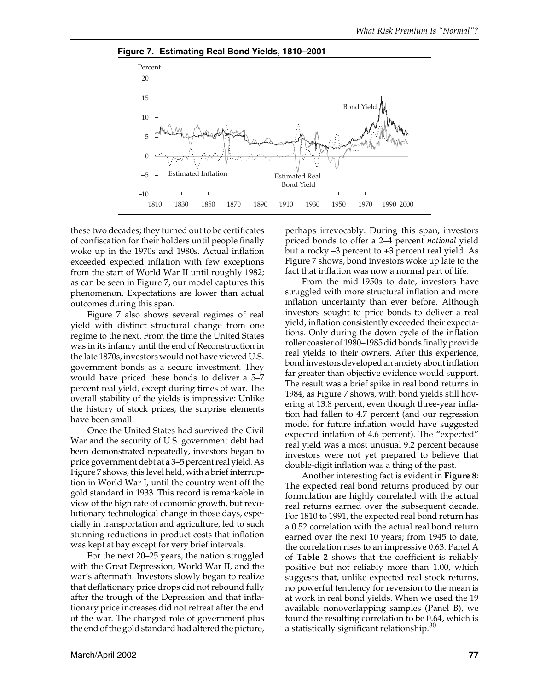



these two decades; they turned out to be certificates of confiscation for their holders until people finally woke up in the 1970s and 1980s. Actual inflation exceeded expected inflation with few exceptions from the start of World War II until roughly 1982; as can be seen in Figure 7, our model captures this phenomenon. Expectations are lower than actual outcomes during this span.

Figure 7 also shows several regimes of real yield with distinct structural change from one regime to the next. From the time the United States was in its infancy until the end of Reconstruction in the late 1870s, investors would not have viewed U.S. government bonds as a secure investment. They would have priced these bonds to deliver a 5–7 percent real yield, except during times of war. The overall stability of the yields is impressive: Unlike the history of stock prices, the surprise elements have been small.

Once the United States had survived the Civil War and the security of U.S. government debt had been demonstrated repeatedly, investors began to price government debt at a 3–5 percent real yield. As Figure 7 shows, this level held, with a brief interruption in World War I, until the country went off the gold standard in 1933. This record is remarkable in view of the high rate of economic growth, but revolutionary technological change in those days, especially in transportation and agriculture, led to such stunning reductions in product costs that inflation was kept at bay except for very brief intervals.

For the next 20–25 years, the nation struggled with the Great Depression, World War II, and the war's aftermath. Investors slowly began to realize that deflationary price drops did not rebound fully after the trough of the Depression and that inflationary price increases did not retreat after the end of the war. The changed role of government plus the end of the gold standard had altered the picture, perhaps irrevocably. During this span, investors priced bonds to offer a 2–4 percent *notional* yield but a rocky –3 percent to +3 percent real yield. As Figure 7 shows, bond investors woke up late to the fact that inflation was now a normal part of life.

From the mid-1950s to date, investors have struggled with more structural inflation and more inflation uncertainty than ever before. Although investors sought to price bonds to deliver a real yield, inflation consistently exceeded their expectations. Only during the down cycle of the inflation roller coaster of 1980–1985 did bonds finally provide real yields to their owners. After this experience, bond investors developed an anxiety about inflation far greater than objective evidence would support. The result was a brief spike in real bond returns in 1984, as Figure 7 shows, with bond yields still hovering at 13.8 percent, even though three-year inflation had fallen to 4.7 percent (and our regression model for future inflation would have suggested expected inflation of 4.6 percent). The "expected" real yield was a most unusual 9.2 percent because investors were not yet prepared to believe that double-digit inflation was a thing of the past.

Another interesting fact is evident in **Figure 8**: The expected real bond returns produced by our formulation are highly correlated with the actual real returns earned over the subsequent decade. For 1810 to 1991, the expected real bond return has a 0.52 correlation with the actual real bond return earned over the next 10 years; from 1945 to date, the correlation rises to an impressive 0.63. Panel A of **Table 2** shows that the coefficient is reliably positive but not reliably more than 1.00, which suggests that, unlike expected real stock returns, no powerful tendency for reversion to the mean is at work in real bond yields. When we used the 19 available nonoverlapping samples (Panel B), we found the resulting correlation to be 0.64, which is a statistically significant relationship. $30$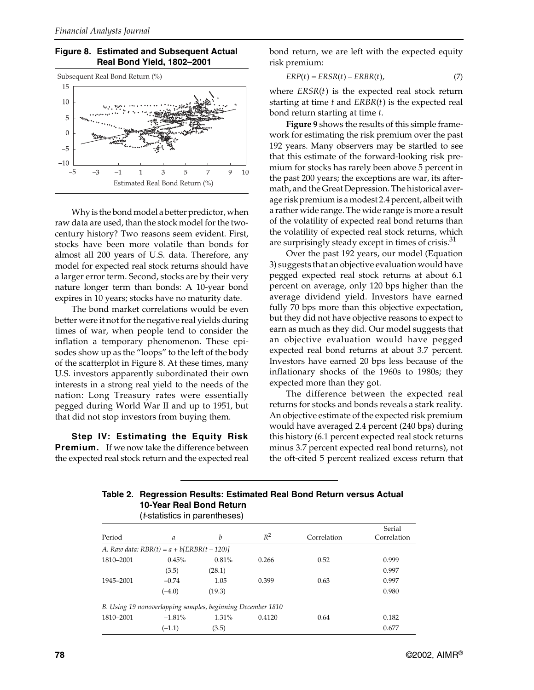



Why is the bond model a better predictor, when raw data are used, than the stock model for the twocentury history? Two reasons seem evident. First, stocks have been more volatile than bonds for almost all 200 years of U.S. data. Therefore, any model for expected real stock returns should have a larger error term. Second, stocks are by their very nature longer term than bonds: A 10-year bond expires in 10 years; stocks have no maturity date.

The bond market correlations would be even better were it not for the negative real yields during times of war, when people tend to consider the inflation a temporary phenomenon. These episodes show up as the "loops" to the left of the body of the scatterplot in Figure 8. At these times, many U.S. investors apparently subordinated their own interests in a strong real yield to the needs of the nation: Long Treasury rates were essentially pegged during World War II and up to 1951, but that did not stop investors from buying them.

**Step IV: Estimating the Equity Risk Premium.** If we now take the difference between the expected real stock return and the expected real bond return, we are left with the expected equity risk premium:

$$
ERP(t) = ERSR(t) - ERBR(t), \qquad (7)
$$

where *ERSR*(*t*) is the expected real stock return starting at time *t* and *ERBR*(*t*) is the expected real bond return starting at time *t*.

**Figure 9** shows the results of this simple framework for estimating the risk premium over the past 192 years. Many observers may be startled to see that this estimate of the forward-looking risk premium for stocks has rarely been above 5 percent in the past 200 years; the exceptions are war, its aftermath, and the Great Depression. The historical average risk premium is a modest 2.4 percent, albeit with a rather wide range. The wide range is more a result of the volatility of expected real bond returns than the volatility of expected real stock returns, which are surprisingly steady except in times of crisis.<sup>31</sup>

Over the past 192 years, our model (Equation 3) suggests that an objective evaluation would have pegged expected real stock returns at about 6.1 percent on average, only 120 bps higher than the average dividend yield. Investors have earned fully 70 bps more than this objective expectation, but they did not have objective reasons to expect to earn as much as they did. Our model suggests that an objective evaluation would have pegged expected real bond returns at about 3.7 percent. Investors have earned 20 bps less because of the inflationary shocks of the 1960s to 1980s; they expected more than they got.

The difference between the expected real returns for stocks and bonds reveals a stark reality. An objective estimate of the expected risk premium would have averaged 2.4 percent (240 bps) during this history (6.1 percent expected real stock returns minus 3.7 percent expected real bond returns), not the oft-cited 5 percent realized excess return that

| <u>iv-teal neal Duily neturit</u><br><i>(t-statistics in parentheses)</i> |                                                             |          |        |             |                       |  |
|---------------------------------------------------------------------------|-------------------------------------------------------------|----------|--------|-------------|-----------------------|--|
| Period                                                                    | $\mathfrak a$                                               | b        | $R^2$  | Correlation | Serial<br>Correlation |  |
|                                                                           | A. Raw data: $RBR(t) = a + b \{ERBR(t - 120)\}$             |          |        |             |                       |  |
| 1810-2001                                                                 | 0.45%                                                       | 0.81%    | 0.266  | 0.52        | 0.999                 |  |
|                                                                           | (3.5)                                                       | (28.1)   |        |             | 0.997                 |  |
| 1945-2001                                                                 | $-0.74$                                                     | 1.05     | 0.399  | 0.63        | 0.997                 |  |
|                                                                           | $(-4.0)$                                                    | (19.3)   |        |             | 0.980                 |  |
|                                                                           | B. Using 19 nonoverlapping samples, beginning December 1810 |          |        |             |                       |  |
| 1810-2001                                                                 | $-1.81\%$                                                   | $1.31\%$ | 0.4120 | 0.64        | 0.182                 |  |
|                                                                           | $(-1.1)$                                                    | (3.5)    |        |             | 0.677                 |  |

# **Table 2. Regression Results: Estimated Real Bond Return versus Actual 10-Year Real Bond Return**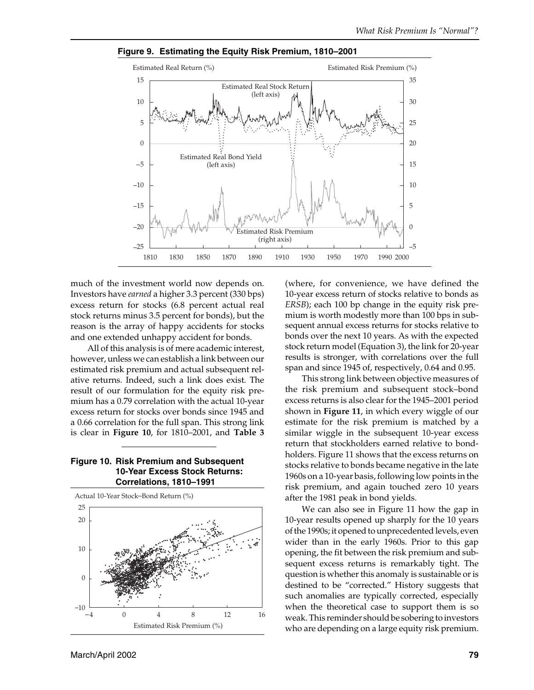

**Figure 9. Estimating the Equity Risk Premium, 1810–2001**

much of the investment world now depends on. Investors have *earned* a higher 3.3 percent (330 bps) excess return for stocks (6.8 percent actual real stock returns minus 3.5 percent for bonds), but the reason is the array of happy accidents for stocks and one extended unhappy accident for bonds.

All of this analysis is of mere academic interest, however, unless we can establish a link between our estimated risk premium and actual subsequent relative returns. Indeed, such a link does exist. The result of our formulation for the equity risk premium has a 0.79 correlation with the actual 10-year excess return for stocks over bonds since 1945 and a 0.66 correlation for the full span. This strong link is clear in **Figure 10**, for 1810–2001, and **Table 3**

#### **Figure 10. Risk Premium and Subsequent 10-Year Excess Stock Returns: Correlations, 1810–1991**



(where, for convenience, we have defined the 10-year excess return of stocks relative to bonds as *ERSB*); each 100 bp change in the equity risk premium is worth modestly more than 100 bps in subsequent annual excess returns for stocks relative to bonds over the next 10 years. As with the expected stock return model (Equation 3), the link for 20-year results is stronger, with correlations over the full span and since 1945 of, respectively, 0.64 and 0.95.

This strong link between objective measures of the risk premium and subsequent stock–bond excess returns is also clear for the 1945–2001 period shown in **Figure 11**, in which every wiggle of our estimate for the risk premium is matched by a similar wiggle in the subsequent 10-year excess return that stockholders earned relative to bondholders. Figure 11 shows that the excess returns on stocks relative to bonds became negative in the late 1960s on a 10-year basis, following low points in the risk premium, and again touched zero 10 years after the 1981 peak in bond yields.

We can also see in Figure 11 how the gap in 10-year results opened up sharply for the 10 years of the 1990s; it opened to unprecedented levels, even wider than in the early 1960s. Prior to this gap opening, the fit between the risk premium and subsequent excess returns is remarkably tight. The question is whether this anomaly is sustainable or is destined to be "corrected." History suggests that such anomalies are typically corrected, especially when the theoretical case to support them is so weak. This reminder should be sobering to investors who are depending on a large equity risk premium.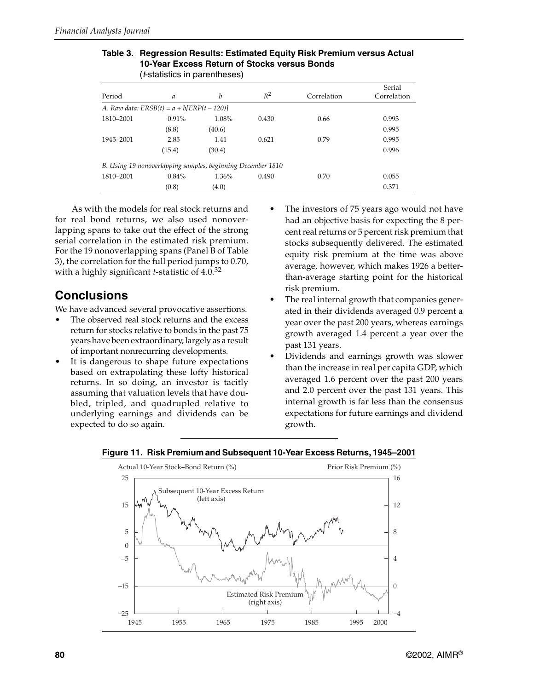| ( <i>t</i> -statistics in parentheses) |                                                             |          |       |             |                       |
|----------------------------------------|-------------------------------------------------------------|----------|-------|-------------|-----------------------|
| Period                                 | $\mathfrak a$                                               | h        | $R^2$ | Correlation | Serial<br>Correlation |
|                                        | A. Raw data: $ERSB(t) = a + b \times P(t - 120)$            |          |       |             |                       |
| 1810-2001                              | $0.91\%$                                                    | 1.08%    | 0.430 | 0.66        | 0.993                 |
|                                        | (8.8)                                                       | (40.6)   |       |             | 0.995                 |
| 1945-2001                              | 2.85                                                        | 1.41     | 0.621 | 0.79        | 0.995                 |
|                                        | (15.4)                                                      | (30.4)   |       |             | 0.996                 |
|                                        | B. Using 19 nonoverlapping samples, beginning December 1810 |          |       |             |                       |
| 1810-2001                              | $0.84\%$                                                    | $1.36\%$ | 0.490 | 0.70        | 0.055                 |
|                                        | (0.8)                                                       | (4.0)    |       |             | 0.371                 |

## **Table 3. Regression Results: Estimated Equity Risk Premium versus Actual 10-Year Excess Return of Stocks versus Bonds**

As with the models for real stock returns and for real bond returns, we also used nonoverlapping spans to take out the effect of the strong serial correlation in the estimated risk premium. For the 19 nonoverlapping spans (Panel B of Table 3), the correlation for the full period jumps to 0.70, with a highly significant *t*-statistic of 4.0.<sup>32</sup>

## **Conclusions**

We have advanced several provocative assertions.

- The observed real stock returns and the excess return for stocks relative to bonds in the past 75 years have been extraordinary, largely as a result of important nonrecurring developments.
- It is dangerous to shape future expectations based on extrapolating these lofty historical returns. In so doing, an investor is tacitly assuming that valuation levels that have doubled, tripled, and quadrupled relative to underlying earnings and dividends can be expected to do so again.
- The investors of 75 years ago would not have had an objective basis for expecting the 8 percent real returns or 5 percent risk premium that stocks subsequently delivered. The estimated equity risk premium at the time was above average, however, which makes 1926 a betterthan-average starting point for the historical risk premium.
- The real internal growth that companies generated in their dividends averaged 0.9 percent a year over the past 200 years, whereas earnings growth averaged 1.4 percent a year over the past 131 years.
- Dividends and earnings growth was slower than the increase in real per capita GDP, which averaged 1.6 percent over the past 200 years and 2.0 percent over the past 131 years. This internal growth is far less than the consensus expectations for future earnings and dividend growth.



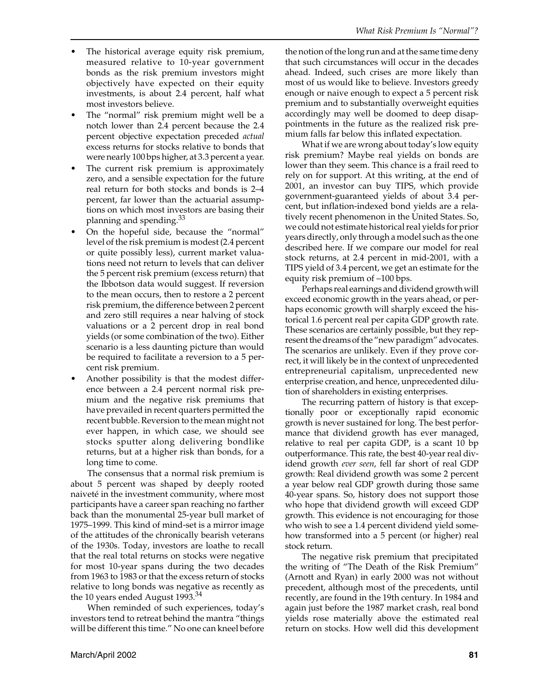- The historical average equity risk premium, measured relative to 10-year government bonds as the risk premium investors might objectively have expected on their equity investments, is about 2.4 percent, half what most investors believe.
- The "normal" risk premium might well be a notch lower than 2.4 percent because the 2.4 percent objective expectation preceded *actual* excess returns for stocks relative to bonds that were nearly 100 bps higher, at 3.3 percent a year.
- The current risk premium is approximately zero, and a sensible expectation for the future real return for both stocks and bonds is 2–4 percent, far lower than the actuarial assumptions on which most investors are basing their planning and spending.<sup>33</sup>
- On the hopeful side, because the "normal" level of the risk premium is modest (2.4 percent or quite possibly less), current market valuations need not return to levels that can deliver the 5 percent risk premium (excess return) that the Ibbotson data would suggest. If reversion to the mean occurs, then to restore a 2 percent risk premium, the difference between 2 percent and zero still requires a near halving of stock valuations or a 2 percent drop in real bond yields (or some combination of the two). Either scenario is a less daunting picture than would be required to facilitate a reversion to a 5 percent risk premium.
- Another possibility is that the modest difference between a 2.4 percent normal risk premium and the negative risk premiums that have prevailed in recent quarters permitted the recent bubble. Reversion to the mean might not ever happen, in which case, we should see stocks sputter along delivering bondlike returns, but at a higher risk than bonds, for a long time to come.

The consensus that a normal risk premium is about 5 percent was shaped by deeply rooted naiveté in the investment community, where most participants have a career span reaching no farther back than the monumental 25-year bull market of 1975–1999. This kind of mind-set is a mirror image of the attitudes of the chronically bearish veterans of the 1930s. Today, investors are loathe to recall that the real total returns on stocks were negative for most 10-year spans during the two decades from 1963 to 1983 or that the excess return of stocks relative to long bonds was negative as recently as the  $10$  years ended August 1993. $^{34}$ 

When reminded of such experiences, today's investors tend to retreat behind the mantra "things will be different this time." No one can kneel before

the notion of the long run and at the same time deny that such circumstances will occur in the decades ahead. Indeed, such crises are more likely than most of us would like to believe. Investors greedy enough or naive enough to expect a 5 percent risk premium and to substantially overweight equities accordingly may well be doomed to deep disappointments in the future as the realized risk premium falls far below this inflated expectation.

What if we are wrong about today's low equity risk premium? Maybe real yields on bonds are lower than they seem. This chance is a frail reed to rely on for support. At this writing, at the end of 2001, an investor can buy TIPS, which provide government-guaranteed yields of about 3.4 percent, but inflation-indexed bond yields are a relatively recent phenomenon in the United States. So, we could not estimate historical real yields for prior years directly, only through a model such as the one described here. If we compare our model for real stock returns, at 2.4 percent in mid-2001, with a TIPS yield of 3.4 percent, we get an estimate for the equity risk premium of –100 bps.

Perhaps real earnings and dividend growth will exceed economic growth in the years ahead, or perhaps economic growth will sharply exceed the historical 1.6 percent real per capita GDP growth rate. These scenarios are certainly possible, but they represent the dreams of the "new paradigm" advocates. The scenarios are unlikely. Even if they prove correct, it will likely be in the context of unprecedented entrepreneurial capitalism, unprecedented new enterprise creation, and hence, unprecedented dilution of shareholders in existing enterprises.

The recurring pattern of history is that exceptionally poor or exceptionally rapid economic growth is never sustained for long. The best performance that dividend growth has ever managed, relative to real per capita GDP, is a scant 10 bp outperformance. This rate, the best 40-year real dividend growth *ever seen*, fell far short of real GDP growth: Real dividend growth was some 2 percent a year below real GDP growth during those same 40-year spans. So, history does not support those who hope that dividend growth will exceed GDP growth. This evidence is not encouraging for those who wish to see a 1.4 percent dividend yield somehow transformed into a 5 percent (or higher) real stock return.

The negative risk premium that precipitated the writing of "The Death of the Risk Premium" (Arnott and Ryan) in early 2000 was not without precedent, although most of the precedents, until recently, are found in the 19th century. In 1984 and again just before the 1987 market crash, real bond yields rose materially above the estimated real return on stocks. How well did this development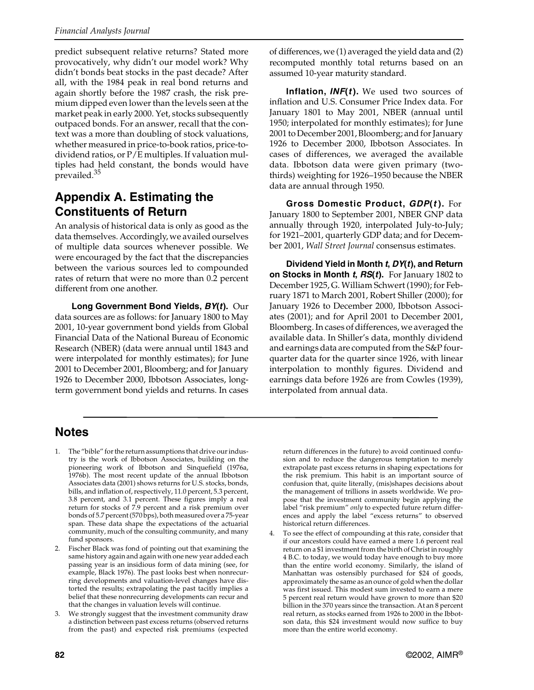predict subsequent relative returns? Stated more provocatively, why didn't our model work? Why didn't bonds beat stocks in the past decade? After all, with the 1984 peak in real bond returns and again shortly before the 1987 crash, the risk premium dipped even lower than the levels seen at the market peak in early 2000. Yet, stocks subsequently outpaced bonds. For an answer, recall that the context was a more than doubling of stock valuations, whether measured in price-to-book ratios, price-todividend ratios, or P/E multiples. If valuation multiples had held constant, the bonds would have prevailed.<sup>35</sup>

## **Appendix A. Estimating the Constituents of Return**

An analysis of historical data is only as good as the data themselves. Accordingly, we availed ourselves of multiple data sources whenever possible. We were encouraged by the fact that the discrepancies between the various sources led to compounded rates of return that were no more than 0.2 percent different from one another.

**Long Government Bond Yields,** *BY***(***t***).** Our data sources are as follows: for January 1800 to May 2001, 10-year government bond yields from Global Financial Data of the National Bureau of Economic Research (NBER) (data were annual until 1843 and were interpolated for monthly estimates); for June 2001 to December 2001, Bloomberg; and for January 1926 to December 2000, Ibbotson Associates, longterm government bond yields and returns. In cases

of differences, we (1) averaged the yield data and (2) recomputed monthly total returns based on an assumed 10-year maturity standard.

**Inflation,** *INF***(***t* **).** We used two sources of inflation and U.S. Consumer Price Index data. For January 1801 to May 2001, NBER (annual until 1950; interpolated for monthly estimates); for June 2001 to December 2001, Bloomberg; and for January 1926 to December 2000, Ibbotson Associates. In cases of differences, we averaged the available data. Ibbotson data were given primary (twothirds) weighting for 1926–1950 because the NBER data are annual through 1950.

**Gross Domestic Product,** *GDP***(***t* **).** For January 1800 to September 2001, NBER GNP data annually through 1920, interpolated July-to-July; for 1921–2001, quarterly GDP data; and for December 2001, *Wall Street Journal* consensus estimates.

**Dividend Yield in Month** *t***,** *DY***(***t***), and Return on Stocks in Month** *t***,** *RS***(***t***).** For January 1802 to December 1925, G. William Schwert (1990); for February 1871 to March 2001, Robert Shiller (2000); for January 1926 to December 2000, Ibbotson Associates (2001); and for April 2001 to December 2001, Bloomberg. In cases of differences, we averaged the available data. In Shiller's data, monthly dividend and earnings data are computed from the S&P fourquarter data for the quarter since 1926, with linear interpolation to monthly figures. Dividend and earnings data before 1926 are from Cowles (1939), interpolated from annual data.

## **Notes**

- 1. The "bible" for the return assumptions that drive our industry is the work of Ibbotson Associates, building on the pioneering work of Ibbotson and Sinquefield (1976a, 1976b). The most recent update of the annual Ibbotson Associates data (2001) shows returns for U.S. stocks, bonds, bills, and inflation of, respectively, 11.0 percent, 5.3 percent, 3.8 percent, and 3.1 percent. These figures imply a real return for stocks of 7.9 percent and a risk premium over bonds of 5.7 percent(570 bps), both measured over a 75-year span. These data shape the expectations of the actuarial community, much of the consulting community, and many fund sponsors.
- 2. Fischer Black was fond of pointing out that examining the same history again and again with one new year added each passing year is an insidious form of data mining (see, for example, Black 1976). The past looks best when nonrecurring developments and valuation-level changes have distorted the results; extrapolating the past tacitly implies a belief that these nonrecurring developments can recur and that the changes in valuation levels will continue.
- We strongly suggest that the investment community draw a distinction between past excess returns (observed returns from the past) and expected risk premiums (expected

return differences in the future) to avoid continued confusion and to reduce the dangerous temptation to merely extrapolate past excess returns in shaping expectations for the risk premium. This habit is an important source of confusion that, quite literally, (mis)shapes decisions about the management of trillions in assets worldwide. We propose that the investment community begin applying the label "risk premium" *only* to expected future return differences and apply the label "excess returns" to observed historical return differences.

4. To see the effect of compounding at this rate, consider that if our ancestors could have earned a mere 1.6 percent real return on a \$1 investment from the birth of Christ in roughly 4 B.C. to today, we would today have enough to buy more than the entire world economy. Similarly, the island of Manhattan was ostensibly purchased for \$24 of goods, approximately the same as an ounce of gold when the dollar was first issued. This modest sum invested to earn a mere 5 percent real return would have grown to more than \$20 billion in the 370 years since the transaction. At an 8 percent real return, as stocks earned from 1926 to 2000 in the Ibbotson data, this \$24 investment would now suffice to buy more than the entire world economy.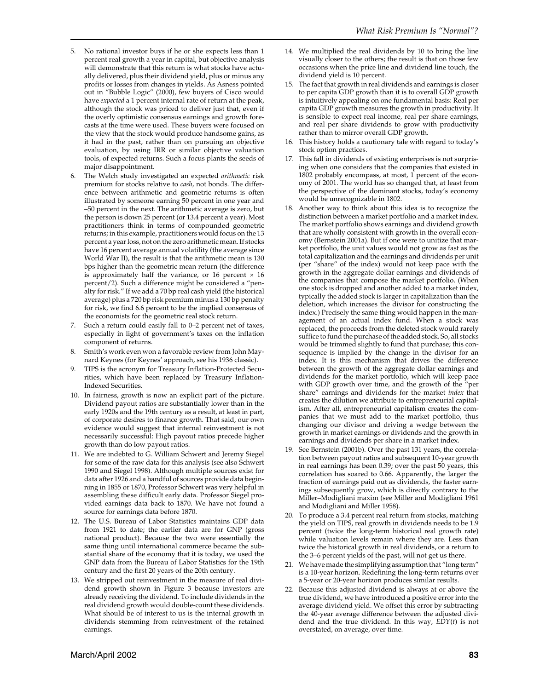- 5. No rational investor buys if he or she expects less than 1 percent real growth a year in capital, but objective analysis will demonstrate that this return is what stocks have actually delivered, plus their dividend yield, plus or minus any profits or losses from changes in yields. As Asness pointed out in "Bubble Logic" (2000), few buyers of Cisco would have *expected* a 1 percent internal rate of return at the peak, although the stock was priced to deliver just that, even if the overly optimistic consensus earnings and growth forecasts at the time were used. These buyers were focused on the view that the stock would produce handsome gains, as it had in the past, rather than on pursuing an objective evaluation, by using IRR or similar objective valuation tools, of expected returns. Such a focus plants the seeds of major disappointment.
- 6. The Welch study investigated an expected *arithmetic* risk premium for stocks relative to *cash*, not bonds. The difference between arithmetic and geometric returns is often illustrated by someone earning 50 percent in one year and –50 percent in the next. The arithmetic average is zero, but the person is down 25 percent (or 13.4 percent a year). Most practitioners think in terms of compounded geometric returns; in this example, practitioners would focus on the 13 percent a year loss, not on the zero arithmetic mean. If stocks have 16 percent average annual volatility (the average since World War II), the result is that the arithmetic mean is 130 bps higher than the geometric mean return (the difference is approximately half the variance, or 16 percent  $\times$  16 percent/2). Such a difference might be considered a "penalty for risk." If we add a 70 bp real cash yield (the historical average) plus a 720 bp risk premium minus a 130 bp penalty for risk, we find 6.6 percent to be the implied consensus of the economists for the geometric real stock return.
- 7. Such a return could easily fall to 0–2 percent net of taxes, especially in light of government's taxes on the inflation component of returns.
- 8. Smith's work even won a favorable review from John Maynard Keynes (for Keynes' approach, see his 1936 classic).
- 9. TIPS is the acronym for Treasury Inflation-Protected Securities, which have been replaced by Treasury Inflation-Indexed Securities.
- 10. In fairness, growth is now an explicit part of the picture. Dividend payout ratios are substantially lower than in the early 1920s and the 19th century as a result, at least in part, of corporate desires to finance growth. That said, our own evidence would suggest that internal reinvestment is not necessarily successful: High payout ratios precede higher growth than do low payout ratios.
- 11. We are indebted to G. William Schwert and Jeremy Siegel for some of the raw data for this analysis (see also Schwert 1990 and Siegel 1998). Although multiple sources exist for data after 1926 and a handful of sources provide data beginning in 1855 or 1870, Professor Schwert was very helpful in assembling these difficult early data. Professor Siegel provided earnings data back to 1870. We have not found a source for earnings data before 1870.
- 12. The U.S. Bureau of Labor Statistics maintains GDP data from 1921 to date; the earlier data are for GNP (gross national product). Because the two were essentially the same thing until international commerce became the substantial share of the economy that it is today, we used the GNP data from the Bureau of Labor Statistics for the 19th century and the first 20 years of the 20th century.
- 13. We stripped out reinvestment in the measure of real dividend growth shown in Figure 3 because investors are already receiving the dividend. To include dividends in the real dividend growth would double-count these dividends. What should be of interest to us is the internal growth in dividends stemming from reinvestment of the retained earnings.
- 14. We multiplied the real dividends by 10 to bring the line visually closer to the others; the result is that on those few occasions when the price line and dividend line touch, the dividend yield is 10 percent.
- 15. The fact that growth in real dividends and earnings is closer to per capita GDP growth than it is to overall GDP growth is intuitively appealing on one fundamental basis: Real per capita GDP growth measures the growth in productivity. It is sensible to expect real income, real per share earnings, and real per share dividends to grow with productivity rather than to mirror overall GDP growth.
- 16. This history holds a cautionary tale with regard to today's stock option practices.
- 17. This fall in dividends of existing enterprises is not surprising when one considers that the companies that existed in 1802 probably encompass, at most, 1 percent of the economy of 2001. The world has so changed that, at least from the perspective of the dominant stocks, today's economy would be unrecognizable in 1802.
- 18. Another way to think about this idea is to recognize the distinction between a market portfolio and a market index. The market portfolio shows earnings and dividend growth that are wholly consistent with growth in the overall economy (Bernstein 2001a). But if one were to unitize that market portfolio, the unit values would not grow as fast as the total capitalization and the earnings and dividends per unit (per "share" of the index) would not keep pace with the growth in the aggregate dollar earnings and dividends of the companies that compose the market portfolio. (When one stock is dropped and another added to a market index, typically the added stock is larger in capitalization than the deletion, which increases the divisor for constructing the index.) Precisely the same thing would happen in the management of an actual index fund. When a stock was replaced, the proceeds from the deleted stock would rarely suffice to fund the purchase of the added stock. So, all stocks would be trimmed slightly to fund that purchase; this consequence is implied by the change in the divisor for an index. It is this mechanism that drives the difference between the growth of the aggregate dollar earnings and dividends for the market portfolio, which will keep pace with GDP growth over time, and the growth of the "per share" earnings and dividends for the market *index* that creates the dilution we attribute to entrepreneurial capitalism. After all, entrepreneurial capitalism creates the companies that we must add to the market portfolio, thus changing our divisor and driving a wedge between the growth in market earnings or dividends and the growth in earnings and dividends per share in a market index.
- 19. See Bernstein (2001b). Over the past 131 years, the correlation between payout ratios and subsequent 10-year growth in real earnings has been 0.39; over the past 50 years, this correlation has soared to 0.66. Apparently, the larger the fraction of earnings paid out as dividends, the faster earnings subsequently grow, which is directly contrary to the Miller–Modigliani maxim (see Miller and Modigliani 1961 and Modigliani and Miller 1958).
- 20. To produce a 3.4 percent real return from stocks, matching the yield on TIPS, real growth in dividends needs to be 1.9 percent (twice the long-term historical real growth rate) while valuation levels remain where they are. Less than twice the historical growth in real dividends, or a return to the 3–6 percent yields of the past, will not get us there.
- 21. We have made the simplifying assumption that "long term" is a 10-year horizon. Redefining the long-term returns over a 5-year or 20-year horizon produces similar results.
- 22. Because this adjusted dividend is always at or above the true dividend, we have introduced a positive error into the average dividend yield. We offset this error by subtracting the 40-year average difference between the adjusted dividend and the true dividend. In this way, *EDY*(*t*) is not overstated, on average, over time.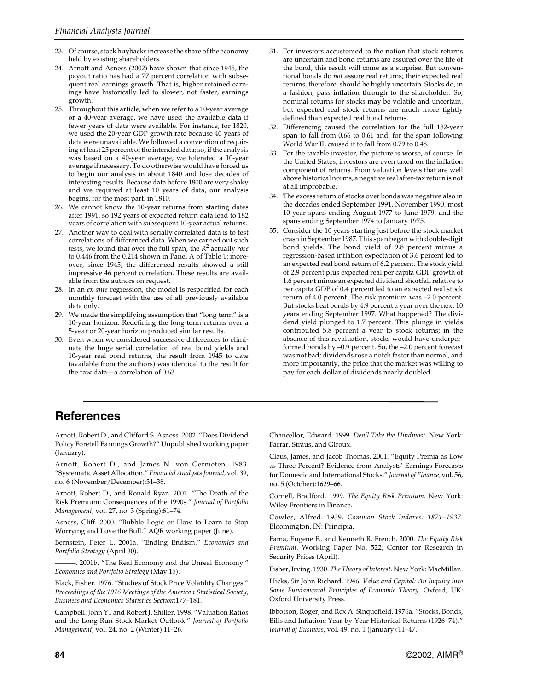- 23. Of course, stock buybacks increase the share of the economy held by existing shareholders.
- 24. Arnott and Asness (2002) have shown that since 1945, the payout ratio has had a 77 percent correlation with subsequent real earnings growth. That is, higher retained earnings have historically led to slower, not faster, earnings growth.
- 25. Throughout this article, when we refer to a 10-year average or a 40-year average, we have used the available data if fewer years of data were available. For instance, for 1820, we used the 20-year GDP growth rate because 40 years of data were unavailable. We followed a convention of requiring at least 25 percent of the intended data; so, if the analysis was based on a 40-year average, we tolerated a 10-year average if necessary. To do otherwise would have forced us to begin our analysis in about 1840 and lose decades of interesting results. Because data before 1800 are very shaky and we required at least 10 years of data, our analysis begins, for the most part, in 1810.
- 26. We cannot know the 10-year returns from starting dates after 1991, so 192 years of expected return data lead to 182 years of correlation with subsequent 10-year actual returns.
- 27. Another way to deal with serially correlated data is to test correlations of differenced data. When we carried out such tests, we found that over the full span, the *R*2 actually *rose* to 0.446 from the 0.214 shown in Panel A of Table 1; moreover, since 1945, the differenced results showed a still impressive 46 percent correlation. These results are available from the authors on request.
- 28. In an *ex ante* regression, the model is respecified for each monthly forecast with the use of all previously available data only.
- 29. We made the simplifying assumption that "long term" is a 10-year horizon. Redefining the long-term returns over a 5-year or 20-year horizon produced similar results.
- 30. Even when we considered successive differences to eliminate the huge serial correlation of real bond yields and 10-year real bond returns, the result from 1945 to date (available from the authors) was identical to the result for the raw data—a correlation of 0.63.
- 31. For investors accustomed to the notion that stock returns are uncertain and bond returns are assured over the life of the bond, this result will come as a surprise. But conventional bonds do *not* assure real returns; their expected real returns, therefore, should be highly uncertain. Stocks do, in a fashion, pass inflation through to the shareholder. So, nominal returns for stocks may be volatile and uncertain, but expected real stock returns are much more tightly defined than expected real bond returns.
- 32. Differencing caused the correlation for the full 182-year span to fall from 0.66 to 0.61 and, for the span following World War II, caused it to fall from 0.79 to 0.48.
- 33. For the taxable investor, the picture is worse, of course. In the United States, investors are even taxed on the inflation component of returns. From valuation levels that are well above historical norms, a negative real after-tax return is not at all improbable.
- 34. The excess return of stocks over bonds was negative also in the decades ended September 1991, November 1990, most 10-year spans ending August 1977 to June 1979, and the spans ending September 1974 to January 1975.
- 35. Consider the 10 years starting just before the stock market crash in September 1987. This span began with double-digit bond yields. The bond yield of 9.8 percent minus a regression-based inflation expectation of 3.6 percent led to an expected real bond return of 6.2 percent. The stock yield of 2.9 percent plus expected real per capita GDP growth of 1.6 percent minus an expected dividend shortfall relative to per capita GDP of 0.4 percent led to an expected real stock return of 4.0 percent. The risk premium was –2.0 percent. But stocks beat bonds by 4.9 percent a year over the next 10 years ending September 1997. What happened? The dividend yield plunged to 1.7 percent. This plunge in yields contributed 5.8 percent a year to stock returns; in the absence of this revaluation, stocks would have underperformed bonds by –0.9 percent. So, the –2.0 percent forecast was not bad; dividends rose a notch faster than normal, and more importantly, the price that the market was willing to pay for each dollar of dividends nearly doubled.

## **References**

Arnott, Robert D., and Clifford S. Asness. 2002. "Does Dividend Policy Foretell Earnings Growth?" Unpublished working paper (January).

Arnott, Robert D., and James N. von Germeten. 1983. "Systematic Asset Allocation." *Financial Analysts Journal,* vol. 39, no. 6 (November/December):31–38.

Arnott, Robert D., and Ronald Ryan. 2001. "The Death of the Risk Premium: Consequences of the 1990s." *Journal of Portfolio Management*, vol. 27, no. 3 (Spring):61–74.

Asness, Cliff. 2000. "Bubble Logic or How to Learn to Stop Worrying and Love the Bull." AQR working paper (June).

Bernstein, Peter L. 2001a. "Ending Endism." *Economics and Portfolio Strategy* (April 30).

———. 2001b. "The Real Economy and the Unreal Economy." *Economics and Portfolio Strategy* (May 15).

Black, Fisher. 1976. "Studies of Stock Price Volatility Changes." *Proceedings of the 1976 Meetings of the American Statistical Society, Business and Economics Statistics Section*:177–181.

Campbell, John Y., and Robert J. Shiller. 1998. "Valuation Ratios and the Long-Run Stock Market Outlook." *Journal of Portfolio Management*, vol. 24, no. 2 (Winter):11–26.

Chancellor, Edward. 1999. *Devil Take the Hindmost*. New York: Farrar, Straus, and Giroux.

Claus, James, and Jacob Thomas. 2001. "Equity Premia as Low as Three Percent? Evidence from Analysts' Earnings Forecasts for Domestic and International Stocks." *Journal of Finance,* vol. 56, no. 5 (October):1629–66.

Cornell, Bradford*.* 1999. *The Equity Risk Premium*. New York: Wiley Frontiers in Finance.

Cowles, Alfred. 1939. *Common Stock Indexes: 1871–1937.* Bloomington, IN: Principia.

Fama, Eugene F., and Kenneth R. French. 2000. *The Equity Risk Premium*. Working Paper No. 522, Center for Research in Security Prices (April).

Fisher, Irving. 1930. *The Theory of Interest*. New York: MacMillan.

Hicks, Sir John Richard. 1946. *Value and Capital: An Inquiry into Some Fundamental Principles of Economic Theory.* Oxford, UK: Oxford University Press.

Ibbotson, Roger, and Rex A. Sinquefield. 1976a. "Stocks, Bonds, Bills and Inflation: Year-by-Year Historical Returns (1926–74)." *Journal of Business*, vol. 49, no. 1 (January):11–47.